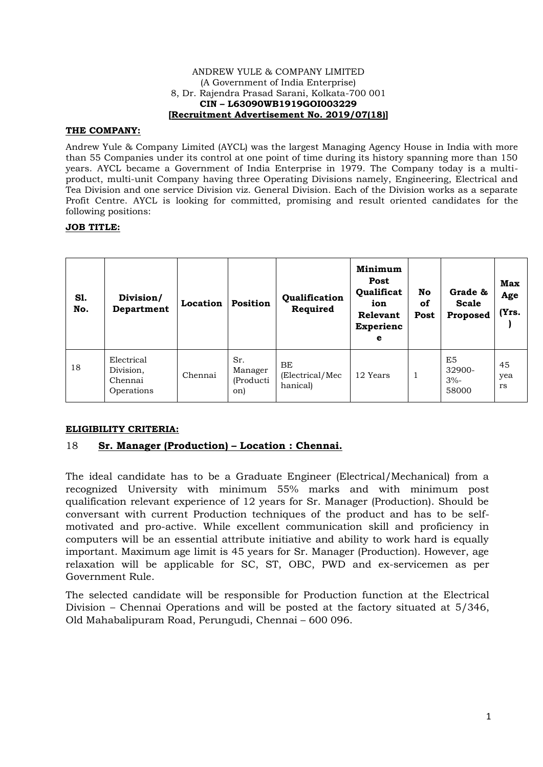#### ANDREW YULE & COMPANY LIMITED (A Government of India Enterprise) 8, Dr. Rajendra Prasad Sarani, Kolkata-700 001 **CIN – L63090WB1919GOI003229 [Recruitment Advertisement No. 2019/07(18)]**

### **THE COMPANY:**

Andrew Yule & Company Limited (AYCL) was the largest Managing Agency House in India with more than 55 Companies under its control at one point of time during its history spanning more than 150 years. AYCL became a Government of India Enterprise in 1979. The Company today is a multiproduct, multi-unit Company having three Operating Divisions namely, Engineering, Electrical and Tea Division and one service Division viz. General Division. Each of the Division works as a separate Profit Centre. AYCL is looking for committed, promising and result oriented candidates for the following positions:

## **JOB TITLE:**

| S1.<br>No. | Division/<br>Department                          | Location | Position                           | Qualification<br>Required         | Minimum<br>Post<br>Qualificat<br>ion<br>Relevant<br><b>Experienc</b><br>e | No<br>οf<br>Post | Grade &<br><b>Scale</b><br>Proposed | Max<br>Age<br>(Yrs.    |
|------------|--------------------------------------------------|----------|------------------------------------|-----------------------------------|---------------------------------------------------------------------------|------------------|-------------------------------------|------------------------|
| 18         | Electrical<br>Division,<br>Chennai<br>Operations | Chennai  | Sr.<br>Manager<br>(Producti<br>on) | BE<br>(Electrical/Mec<br>hanical) | 12 Years                                                                  | л                | E5<br>32900-<br>$3% -$<br>58000     | 45<br>yea<br><b>rs</b> |

### **ELIGIBILITY CRITERIA:**

# 18 **Sr. Manager (Production) – Location : Chennai.**

The ideal candidate has to be a Graduate Engineer (Electrical/Mechanical) from a recognized University with minimum 55% marks and with minimum post qualification relevant experience of 12 years for Sr. Manager (Production). Should be conversant with current Production techniques of the product and has to be selfmotivated and pro-active. While excellent communication skill and proficiency in computers will be an essential attribute initiative and ability to work hard is equally important. Maximum age limit is 45 years for Sr. Manager (Production). However, age relaxation will be applicable for SC, ST, OBC, PWD and ex-servicemen as per Government Rule.

The selected candidate will be responsible for Production function at the Electrical Division – Chennai Operations and will be posted at the factory situated at 5/346, Old Mahabalipuram Road, Perungudi, Chennai – 600 096.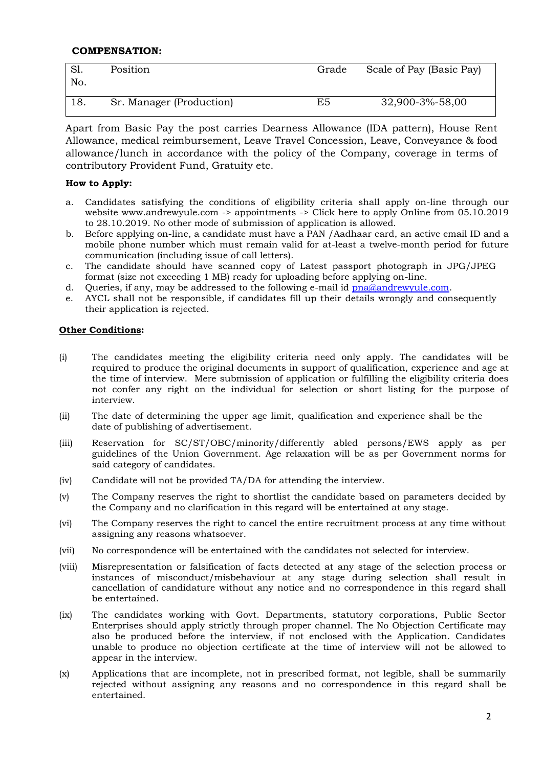# **COMPENSATION:**

| No. | Position                 | Grade | Scale of Pay (Basic Pay) |
|-----|--------------------------|-------|--------------------------|
| 18. | Sr. Manager (Production) | E5    | 32,900-3%-58,00          |

 Apart from Basic Pay the post carries Dearness Allowance (IDA pattern), House Rent Allowance, medical reimbursement, Leave Travel Concession, Leave, Conveyance & food allowance/lunch in accordance with the policy of the Company, coverage in terms of contributory Provident Fund, Gratuity etc.

# **How to Apply:**

- a. Candidates satisfying the conditions of eligibility criteria shall apply on-line through our website www.andrewyule.com -> appointments -> Click here to apply Online from 05.10.2019 to 28.10.2019. No other mode of submission of application is allowed.
- b. Before applying on-line, a candidate must have a PAN /Aadhaar card, an active email ID and a mobile phone number which must remain valid for at-least a twelve-month period for future communication (including issue of call letters).
- c. The candidate should have scanned copy of Latest passport photograph in JPG/JPEG format (size not exceeding 1 MB) ready for uploading before applying on-line.
- d. Queries, if any, may be addressed to the following e-mail id [pna@andrewyule.com.](mailto:pna@andrewyule.com)
- e. AYCL shall not be responsible, if candidates fill up their details wrongly and consequently their application is rejected.

## **Other Conditions:**

- (i) The candidates meeting the eligibility criteria need only apply. The candidates will be required to produce the original documents in support of qualification, experience and age at the time of interview. Mere submission of application or fulfilling the eligibility criteria does not confer any right on the individual for selection or short listing for the purpose of interview.
- (ii) The date of determining the upper age limit, qualification and experience shall be the date of publishing of advertisement.
- (iii) Reservation for SC/ST/OBC/minority/differently abled persons/EWS apply as per guidelines of the Union Government. Age relaxation will be as per Government norms for said category of candidates.
- (iv) Candidate will not be provided TA/DA for attending the interview.
- (v) The Company reserves the right to shortlist the candidate based on parameters decided by the Company and no clarification in this regard will be entertained at any stage.
- (vi) The Company reserves the right to cancel the entire recruitment process at any time without assigning any reasons whatsoever.
- (vii) No correspondence will be entertained with the candidates not selected for interview.
- (viii) Misrepresentation or falsification of facts detected at any stage of the selection process or instances of misconduct/misbehaviour at any stage during selection shall result in cancellation of candidature without any notice and no correspondence in this regard shall be entertained.
- (ix) The candidates working with Govt. Departments, statutory corporations, Public Sector Enterprises should apply strictly through proper channel. The No Objection Certificate may also be produced before the interview, if not enclosed with the Application. Candidates unable to produce no objection certificate at the time of interview will not be allowed to appear in the interview.
- (x) Applications that are incomplete, not in prescribed format, not legible, shall be summarily rejected without assigning any reasons and no correspondence in this regard shall be entertained.